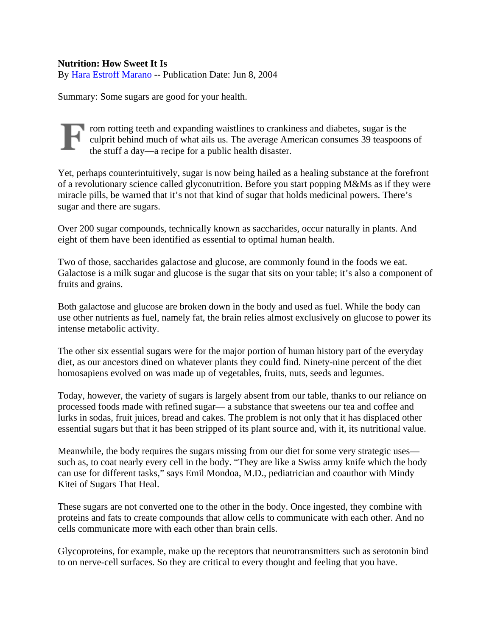## **Nutrition: How Sweet It Is**

By [Hara Estroff Marano](mailto:letters@psychologytoday.com) -- Publication Date: Jun 8, 2004

Summary: Some sugars are good for your health.

rom rotting teeth and expanding waistlines to crankiness and diabetes, sugar is the culprit behind much of what ails us. The average American consumes 39 teaspoons of the stuff a day—a recipe for a public health disaster.

Yet, perhaps counterintuitively, sugar is now being hailed as a healing substance at the forefront of a revolutionary science called glyconutrition. Before you start popping M&Ms as if they were miracle pills, be warned that it's not that kind of sugar that holds medicinal powers. There's sugar and there are sugars.

Over 200 sugar compounds, technically known as saccharides, occur naturally in plants. And eight of them have been identified as essential to optimal human health.

Two of those, saccharides galactose and glucose, are commonly found in the foods we eat. Galactose is a milk sugar and glucose is the sugar that sits on your table; it's also a component of fruits and grains.

Both galactose and glucose are broken down in the body and used as fuel. While the body can use other nutrients as fuel, namely fat, the brain relies almost exclusively on glucose to power its intense metabolic activity.

The other six essential sugars were for the major portion of human history part of the everyday diet, as our ancestors dined on whatever plants they could find. Ninety-nine percent of the diet homosapiens evolved on was made up of vegetables, fruits, nuts, seeds and legumes.

Today, however, the variety of sugars is largely absent from our table, thanks to our reliance on processed foods made with refined sugar— a substance that sweetens our tea and coffee and lurks in sodas, fruit juices, bread and cakes. The problem is not only that it has displaced other essential sugars but that it has been stripped of its plant source and, with it, its nutritional value.

Meanwhile, the body requires the sugars missing from our diet for some very strategic uses such as, to coat nearly every cell in the body. "They are like a Swiss army knife which the body can use for different tasks," says Emil Mondoa, M.D., pediatrician and coauthor with Mindy Kitei of Sugars That Heal.

These sugars are not converted one to the other in the body. Once ingested, they combine with proteins and fats to create compounds that allow cells to communicate with each other. And no cells communicate more with each other than brain cells.

Glycoproteins, for example, make up the receptors that neurotransmitters such as serotonin bind to on nerve-cell surfaces. So they are critical to every thought and feeling that you have.